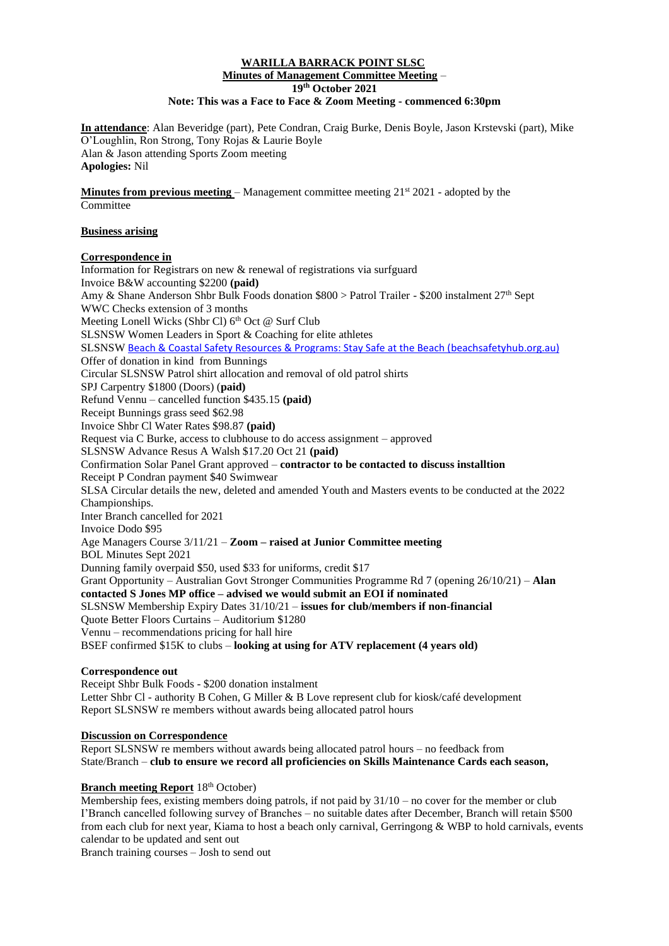### **WARILLA BARRACK POINT SLSC Minutes of Management Committee Meeting** – **19th October 2021 Note: This was a Face to Face & Zoom Meeting - commenced 6:30pm**

**In attendance**: Alan Beveridge (part), Pete Condran, Craig Burke, Denis Boyle, Jason Krstevski (part), Mike O'Loughlin, Ron Strong, Tony Rojas & Laurie Boyle Alan & Jason attending Sports Zoom meeting **Apologies:** Nil

**Minutes from previous meeting** – Management committee meeting  $21<sup>st</sup>$  2021 - adopted by the Committee

## **Business arising**

## **Correspondence in**

Information for Registrars on new & renewal of registrations via surfguard Invoice B&W accounting \$2200 **(paid)** Amy & Shane Anderson Shbr Bulk Foods donation \$800 > Patrol Trailer - \$200 instalment 27th Sept WWC Checks extension of 3 months Meeting Lonell Wicks (Shbr Cl)  $6<sup>th</sup>$  Oct @ Surf Club SLSNSW Women Leaders in Sport & Coaching for elite athletes SLSNSW [Beach & Coastal Safety Resources & Programs: Stay Safe at the Beach \(beachsafetyhub.org.au\)](https://beachsafetyhub.org.au/) Offer of donation in kind from Bunnings Circular SLSNSW Patrol shirt allocation and removal of old patrol shirts SPJ Carpentry \$1800 (Doors) (**paid)** Refund Vennu – cancelled function \$435.15 **(paid)** Receipt Bunnings grass seed \$62.98 Invoice Shbr Cl Water Rates \$98.87 **(paid)** Request via C Burke, access to clubhouse to do access assignment – approved SLSNSW Advance Resus A Walsh \$17.20 Oct 21 **(paid)** Confirmation Solar Panel Grant approved – **contractor to be contacted to discuss installtion** Receipt P Condran payment \$40 Swimwear SLSA Circular details the new, deleted and amended Youth and Masters events to be conducted at the 2022 Championships. Inter Branch cancelled for 2021 Invoice Dodo \$95 Age Managers Course 3/11/21 – **Zoom – raised at Junior Committee meeting** BOL Minutes Sept 2021 Dunning family overpaid \$50, used \$33 for uniforms, credit \$17 Grant Opportunity – Australian Govt Stronger Communities Programme Rd 7 (opening 26/10/21) – **Alan contacted S Jones MP office – advised we would submit an EOI if nominated** SLSNSW Membership Expiry Dates 31/10/21 – **issues for club/members if non-financial** Quote Better Floors Curtains – Auditorium \$1280 Vennu – recommendations pricing for hall hire BSEF confirmed \$15K to clubs – **looking at using for ATV replacement (4 years old)**

### **Correspondence out**

Receipt Shbr Bulk Foods - \$200 donation instalment Letter Shbr Cl - authority B Cohen, G Miller & B Love represent club for kiosk/café development Report SLSNSW re members without awards being allocated patrol hours

### **Discussion on Correspondence**

Report SLSNSW re members without awards being allocated patrol hours – no feedback from State/Branch – **club to ensure we record all proficiencies on Skills Maintenance Cards each season,**

### **Branch meeting Report** 18<sup>th</sup> October)

Membership fees, existing members doing patrols, if not paid by  $31/10$  – no cover for the member or club I'Branch cancelled following survey of Branches – no suitable dates after December, Branch will retain \$500 from each club for next year, Kiama to host a beach only carnival, Gerringong & WBP to hold carnivals, events calendar to be updated and sent out

Branch training courses – Josh to send out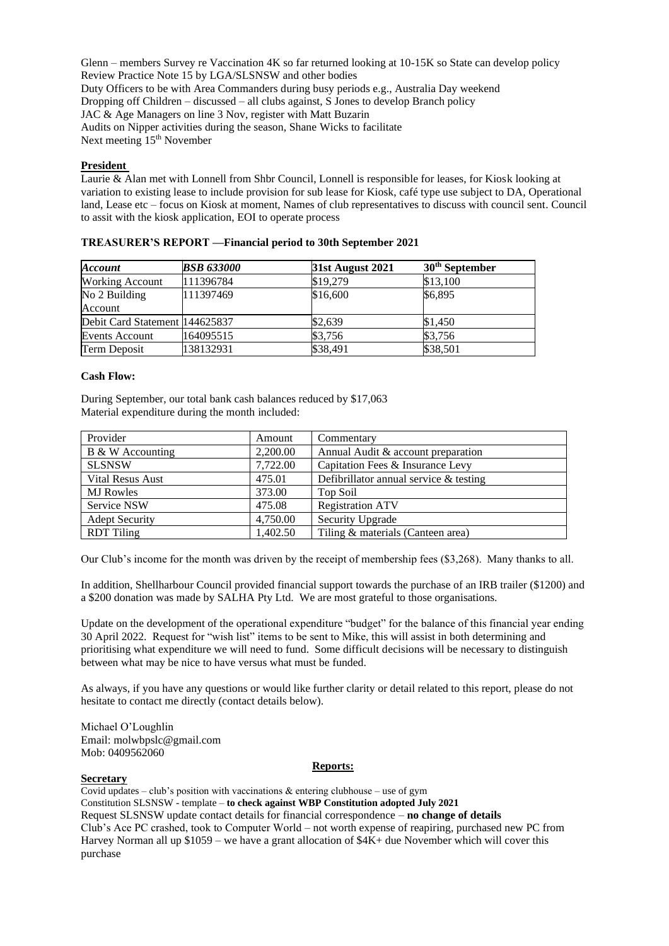Glenn – members Survey re Vaccination 4K so far returned looking at 10-15K so State can develop policy Review Practice Note 15 by LGA/SLSNSW and other bodies Duty Officers to be with Area Commanders during busy periods e.g., Australia Day weekend Dropping off Children – discussed – all clubs against, S Jones to develop Branch policy JAC & Age Managers on line 3 Nov, register with Matt Buzarin Audits on Nipper activities during the season, Shane Wicks to facilitate Next meeting 15<sup>th</sup> November

## **President**

Laurie & Alan met with Lonnell from Shbr Council, Lonnell is responsible for leases, for Kiosk looking at variation to existing lease to include provision for sub lease for Kiosk, café type use subject to DA, Operational land, Lease etc – focus on Kiosk at moment, Names of club representatives to discuss with council sent. Council to assit with the kiosk application, EOI to operate process

| <b>Account</b>                 | <b>BSB 633000</b> | <b>31st August 2021</b> | 30 <sup>th</sup> September |
|--------------------------------|-------------------|-------------------------|----------------------------|
| <b>Working Account</b>         | 111396784         | \$19,279                | \$13,100                   |
| No 2 Building                  | 111397469         | \$16,600                | \$6,895                    |
| Account                        |                   |                         |                            |
| Debit Card Statement 144625837 |                   | \$2,639                 | \$1,450                    |
| <b>Events Account</b>          | 164095515         | \$3,756                 | \$3,756                    |
| Term Deposit                   | 138132931         | \$38,491                | \$38,501                   |

### **TREASURER'S REPORT ––Financial period to 30th September 2021**

### **Cash Flow:**

During September, our total bank cash balances reduced by \$17,063 Material expenditure during the month included:

| Provider              | Amount   | Commentary                                |
|-----------------------|----------|-------------------------------------------|
| B & W Accounting      | 2,200.00 | Annual Audit & account preparation        |
| <b>SLSNSW</b>         | 7,722.00 | Capitation Fees & Insurance Levy          |
| Vital Resus Aust      | 475.01   | Defibrillator annual service $\&$ testing |
| <b>MJ</b> Rowles      | 373.00   | Top Soil                                  |
| Service NSW           | 475.08   | <b>Registration ATV</b>                   |
| <b>Adept Security</b> | 4,750.00 | Security Upgrade                          |
| <b>RDT</b> Tiling     | 1,402.50 | Tiling & materials (Canteen area)         |

Our Club's income for the month was driven by the receipt of membership fees (\$3,268). Many thanks to all.

In addition, Shellharbour Council provided financial support towards the purchase of an IRB trailer (\$1200) and a \$200 donation was made by SALHA Pty Ltd. We are most grateful to those organisations.

Update on the development of the operational expenditure "budget" for the balance of this financial year ending 30 April 2022. Request for "wish list" items to be sent to Mike, this will assist in both determining and prioritising what expenditure we will need to fund. Some difficult decisions will be necessary to distinguish between what may be nice to have versus what must be funded.

As always, if you have any questions or would like further clarity or detail related to this report, please do not hesitate to contact me directly (contact details below).

Michael O'Loughlin Email: [molwbpslc@gmail.com](about:blank) Mob: 0409562060

#### **Reports:**

# **Secretary**

Covid updates – club's position with vaccinations  $\&$  entering clubhouse – use of gym Constitution SLSNSW - template – **to check against WBP Constitution adopted July 2021** Request SLSNSW update contact details for financial correspondence – **no change of details** Club's Ace PC crashed, took to Computer World – not worth expense of reapiring, purchased new PC from Harvey Norman all up \$1059 – we have a grant allocation of \$4K+ due November which will cover this purchase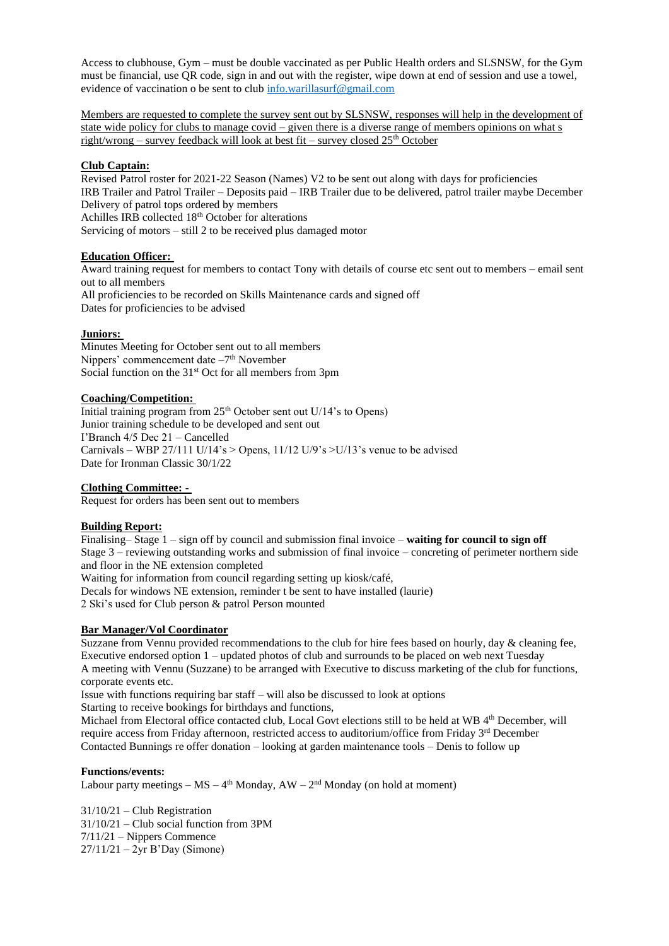Access to clubhouse, Gym – must be double vaccinated as per Public Health orders and SLSNSW, for the Gym must be financial, use QR code, sign in and out with the register, wipe down at end of session and use a towel, evidence of vaccination o be sent to club [info.warillasurf@gmail.com](mailto:info.warillasurf@gmail.com)

Members are requested to complete the survey sent out by SLSNSW, responses will help in the development of state wide policy for clubs to manage covid – given there is a diverse range of members opinions on what s right/wrong – survey feedback will look at best fit – survey closed  $25<sup>th</sup>$  October

## **Club Captain:**

Revised Patrol roster for 2021-22 Season (Names) V2 to be sent out along with days for proficiencies IRB Trailer and Patrol Trailer – Deposits paid – IRB Trailer due to be delivered, patrol trailer maybe December Delivery of patrol tops ordered by members Achilles IRB collected 18<sup>th</sup> October for alterations Servicing of motors – still 2 to be received plus damaged motor

## **Education Officer:**

Award training request for members to contact Tony with details of course etc sent out to members – email sent out to all members All proficiencies to be recorded on Skills Maintenance cards and signed off Dates for proficiencies to be advised

### **Juniors:**

Minutes Meeting for October sent out to all members Nippers' commencement date -7<sup>th</sup> November Social function on the  $31<sup>st</sup>$  Oct for all members from 3pm

### **Coaching/Competition:**

Initial training program from  $25<sup>th</sup>$  October sent out U/14's to Opens) Junior training schedule to be developed and sent out I'Branch 4/5 Dec 21 – Cancelled Carnivals – WBP 27/111 U/14's > Opens,  $11/12$  U/9's >U/13's venue to be advised Date for Ironman Classic 30/1/22

### **Clothing Committee: -**

Request for orders has been sent out to members

### **Building Report:**

Finalising– Stage 1 – sign off by council and submission final invoice – **waiting for council to sign off** Stage 3 – reviewing outstanding works and submission of final invoice – concreting of perimeter northern side and floor in the NE extension completed

Waiting for information from council regarding setting up kiosk/café,

Decals for windows NE extension, reminder t be sent to have installed (laurie) 2 Ski's used for Club person & patrol Person mounted

### **Bar Manager/Vol Coordinator**

Suzzane from Vennu provided recommendations to the club for hire fees based on hourly, day & cleaning fee, Executive endorsed option 1 – updated photos of club and surrounds to be placed on web next Tuesday A meeting with Vennu (Suzzane) to be arranged with Executive to discuss marketing of the club for functions, corporate events etc.

Issue with functions requiring bar staff – will also be discussed to look at options Starting to receive bookings for birthdays and functions,

Michael from Electoral office contacted club, Local Govt elections still to be held at WB 4<sup>th</sup> December, will require access from Friday afternoon, restricted access to auditorium/office from Friday 3<sup>rd</sup> December Contacted Bunnings re offer donation – looking at garden maintenance tools – Denis to follow up

#### **Functions/events:**

Labour party meetings  $-$  MS  $-$  4<sup>th</sup> Monday, AW  $-$  2<sup>nd</sup> Monday (on hold at moment)

31/10/21 – Club Registration 31/10/21 – Club social function from 3PM 7/11/21 – Nippers Commence 27/11/21 – 2yr B'Day (Simone)